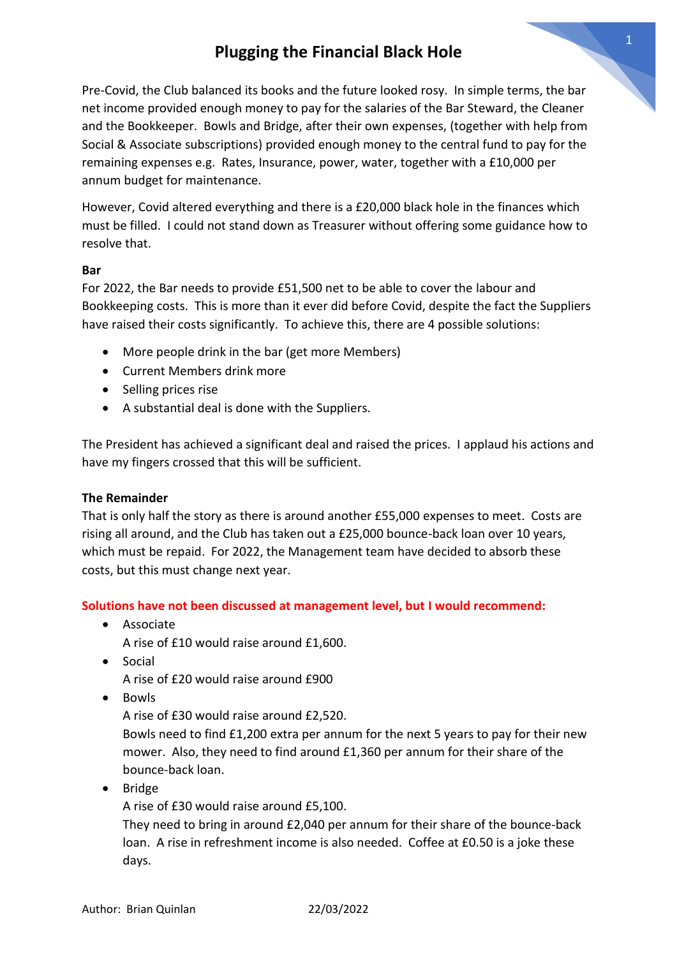# **Plugging the Financial Black Hole**

Pre-Covid, the Club balanced its books and the future looked rosy. In simple terms, the bar net income provided enough money to pay for the salaries of the Bar Steward, the Cleaner and the Bookkeeper. Bowls and Bridge, after their own expenses, (together with help from Social & Associate subscriptions) provided enough money to the central fund to pay for the remaining expenses e.g. Rates, Insurance, power, water, together with a £10,000 per annum budget for maintenance.

However, Covid altered everything and there is a £20,000 black hole in the finances which must be filled. I could not stand down as Treasurer without offering some guidance how to resolve that.

### **Bar**

For 2022, the Bar needs to provide £51,500 net to be able to cover the labour and Bookkeeping costs. This is more than it ever did before Covid, despite the fact the Suppliers have raised their costs significantly. To achieve this, there are 4 possible solutions:

- More people drink in the bar (get more Members)
- Current Members drink more
- Selling prices rise
- A substantial deal is done with the Suppliers.

The President has achieved a significant deal and raised the prices. I applaud his actions and have my fingers crossed that this will be sufficient.

#### **The Remainder**

That is only half the story as there is around another £55,000 expenses to meet. Costs are rising all around, and the Club has taken out a £25,000 bounce-back loan over 10 years, which must be repaid. For 2022, the Management team have decided to absorb these costs, but this must change next year.

### **Solutions have not been discussed at management level, but I would recommend:**

• Associate

A rise of £10 would raise around £1,600.

• Social

A rise of £20 would raise around £900

• Bowls

A rise of £30 would raise around £2,520.

Bowls need to find £1,200 extra per annum for the next 5 years to pay for their new mower. Also, they need to find around £1,360 per annum for their share of the bounce-back loan.

• Bridge

A rise of £30 would raise around £5,100.

They need to bring in around £2,040 per annum for their share of the bounce-back loan. A rise in refreshment income is also needed. Coffee at £0.50 is a joke these days.